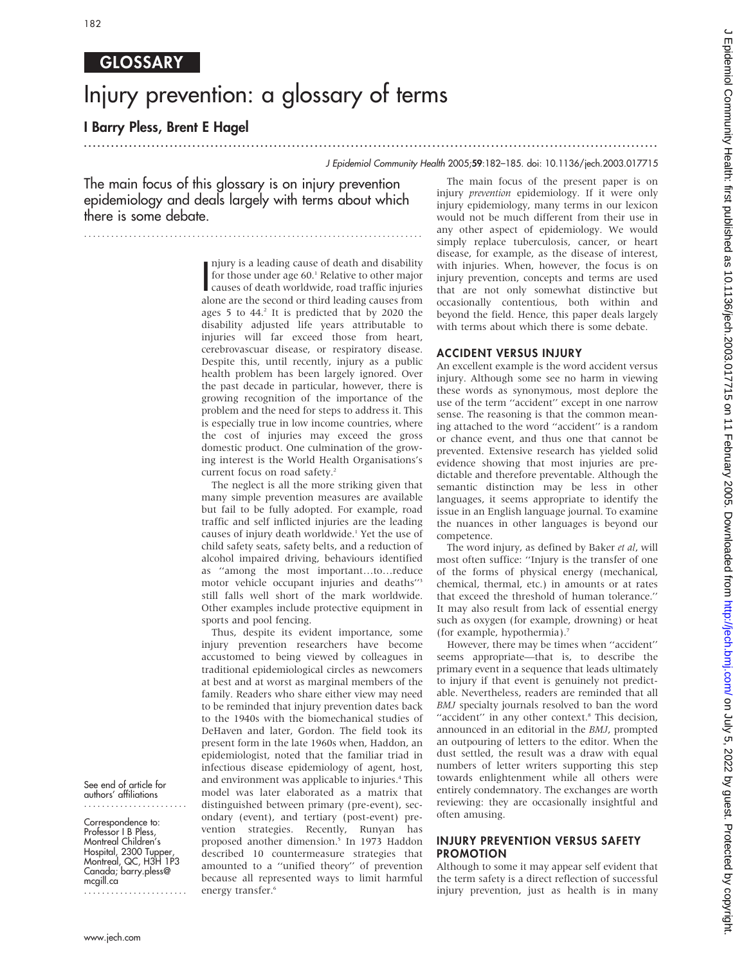## **GLOSSARY**

# Injury prevention: a glossary of terms

## I Barry Pless, Brent E Hagel

## J Epidemiol Community Health 2005;59:182–185. doi: 10.1136/jech.2003.017715

The main focus of this glossary is on injury prevention epidemiology and deals largely with terms about which there is some debate.

...........................................................................

I mury is a leading cause of death and disability<br>for those under age 60.' Relative to other major<br>causes of death worldwide, road traffic injuries njury is a leading cause of death and disability for those under age 60.<sup>1</sup> Relative to other major alone are the second or third leading causes from ages 5 to  $44<sup>2</sup>$ . It is predicted that by 2020 the disability adjusted life years attributable to injuries will far exceed those from heart, cerebrovascuar disease, or respiratory disease. Despite this, until recently, injury as a public health problem has been largely ignored. Over the past decade in particular, however, there is growing recognition of the importance of the problem and the need for steps to address it. This is especially true in low income countries, where the cost of injuries may exceed the gross domestic product. One culmination of the growing interest is the World Health Organisations's current focus on road safety.<sup>2</sup>

...............................................................................................................................

The neglect is all the more striking given that many simple prevention measures are available but fail to be fully adopted. For example, road traffic and self inflicted injuries are the leading causes of injury death worldwide.<sup>1</sup> Yet the use of child safety seats, safety belts, and a reduction of alcohol impaired driving, behaviours identified as ''among the most important…to…reduce motor vehicle occupant injuries and deaths''3 still falls well short of the mark worldwide. Other examples include protective equipment in sports and pool fencing.

Thus, despite its evident importance, some injury prevention researchers have become accustomed to being viewed by colleagues in traditional epidemiological circles as newcomers at best and at worst as marginal members of the family. Readers who share either view may need to be reminded that injury prevention dates back to the 1940s with the biomechanical studies of DeHaven and later, Gordon. The field took its present form in the late 1960s when, Haddon, an epidemiologist, noted that the familiar triad in infectious disease epidemiology of agent, host, and environment was applicable to injuries.<sup>4</sup> This model was later elaborated as a matrix that distinguished between primary (pre-event), secondary (event), and tertiary (post-event) prevention strategies. Recently, Runyan has proposed another dimension.<sup>5</sup> In 1973 Haddon described 10 countermeasure strategies that amounted to a ''unified theory'' of prevention because all represented ways to limit harmful energy transfer.<sup>6</sup>

The main focus of the present paper is on injury prevention epidemiology. If it were only injury epidemiology, many terms in our lexicon would not be much different from their use in any other aspect of epidemiology. We would simply replace tuberculosis, cancer, or heart disease, for example, as the disease of interest, with injuries. When, however, the focus is on injury prevention, concepts and terms are used that are not only somewhat distinctive but occasionally contentious, both within and beyond the field. Hence, this paper deals largely with terms about which there is some debate.

### ACCIDENT VERSUS INJURY

An excellent example is the word accident versus injury. Although some see no harm in viewing these words as synonymous, most deplore the use of the term ''accident'' except in one narrow sense. The reasoning is that the common meaning attached to the word ''accident'' is a random or chance event, and thus one that cannot be prevented. Extensive research has yielded solid evidence showing that most injuries are predictable and therefore preventable. Although the semantic distinction may be less in other languages, it seems appropriate to identify the issue in an English language journal. To examine the nuances in other languages is beyond our competence.

The word injury, as defined by Baker et al, will most often suffice: ''Injury is the transfer of one of the forms of physical energy (mechanical, chemical, thermal, etc.) in amounts or at rates that exceed the threshold of human tolerance.'' It may also result from lack of essential energy such as oxygen (for example, drowning) or heat (for example, hypothermia).7

However, there may be times when ''accident'' seems appropriate—that is, to describe the primary event in a sequence that leads ultimately to injury if that event is genuinely not predictable. Nevertheless, readers are reminded that all BMJ specialty journals resolved to ban the word "accident" in any other context.<sup>8</sup> This decision, announced in an editorial in the BMJ, prompted an outpouring of letters to the editor. When the dust settled, the result was a draw with equal numbers of letter writers supporting this step towards enlightenment while all others were entirely condemnatory. The exchanges are worth reviewing: they are occasionally insightful and often amusing.

#### INJURY PREVENTION VERSUS SAFETY PROMOTION

Although to some it may appear self evident that the term safety is a direct reflection of successful injury prevention, just as health is in many

See end of article for authors' affiliations .......................

Correspondence to: Professor I B Pless, Montreal Children's Hospital, 2300 Tupper, Montreal, QC, H3H 1P3 Canada; barry.pless@ mcgill.ca .......................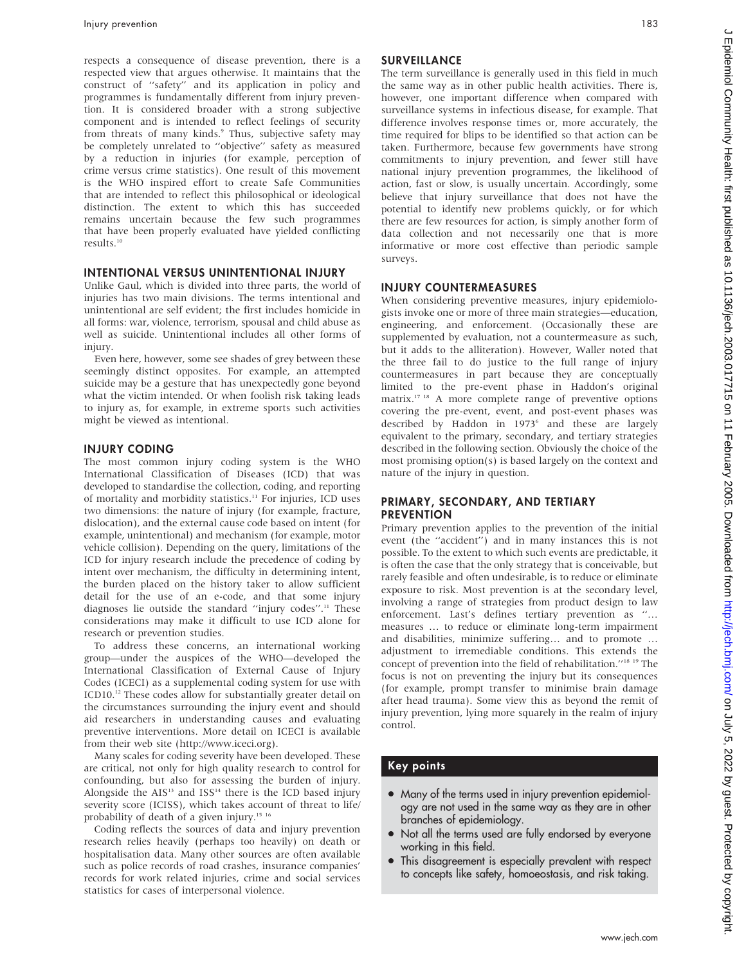respects a consequence of disease prevention, there is a respected view that argues otherwise. It maintains that the construct of ''safety'' and its application in policy and programmes is fundamentally different from injury prevention. It is considered broader with a strong subjective component and is intended to reflect feelings of security from threats of many kinds.<sup>9</sup> Thus, subjective safety may be completely unrelated to ''objective'' safety as measured by a reduction in injuries (for example, perception of crime versus crime statistics). One result of this movement is the WHO inspired effort to create Safe Communities that are intended to reflect this philosophical or ideological distinction. The extent to which this has succeeded remains uncertain because the few such programmes that have been properly evaluated have yielded conflicting results.10

#### INTENTIONAL VERSUS UNINTENTIONAL INJURY

Unlike Gaul, which is divided into three parts, the world of injuries has two main divisions. The terms intentional and unintentional are self evident; the first includes homicide in all forms: war, violence, terrorism, spousal and child abuse as well as suicide. Unintentional includes all other forms of injury.

Even here, however, some see shades of grey between these seemingly distinct opposites. For example, an attempted suicide may be a gesture that has unexpectedly gone beyond what the victim intended. Or when foolish risk taking leads to injury as, for example, in extreme sports such activities might be viewed as intentional.

## INJURY CODING

The most common injury coding system is the WHO International Classification of Diseases (ICD) that was developed to standardise the collection, coding, and reporting of mortality and morbidity statistics.11 For injuries, ICD uses two dimensions: the nature of injury (for example, fracture, dislocation), and the external cause code based on intent (for example, unintentional) and mechanism (for example, motor vehicle collision). Depending on the query, limitations of the ICD for injury research include the precedence of coding by intent over mechanism, the difficulty in determining intent, the burden placed on the history taker to allow sufficient detail for the use of an e-code, and that some injury diagnoses lie outside the standard "injury codes".<sup>11</sup> These considerations may make it difficult to use ICD alone for research or prevention studies.

To address these concerns, an international working group—under the auspices of the WHO—developed the International Classification of External Cause of Injury Codes (ICECI) as a supplemental coding system for use with ICD10.12 These codes allow for substantially greater detail on the circumstances surrounding the injury event and should aid researchers in understanding causes and evaluating preventive interventions. More detail on ICECI is available from their web site (http://www.iceci.org).

Many scales for coding severity have been developed. These are critical, not only for high quality research to control for confounding, but also for assessing the burden of injury. Alongside the  $AIS<sup>13</sup>$  and  $ISS<sup>14</sup>$  there is the ICD based injury severity score (ICISS), which takes account of threat to life/ probability of death of a given injury.<sup>15 16</sup>

Coding reflects the sources of data and injury prevention research relies heavily (perhaps too heavily) on death or hospitalisation data. Many other sources are often available such as police records of road crashes, insurance companies' records for work related injuries, crime and social services statistics for cases of interpersonal violence.

## SURVEILLANCE

The term surveillance is generally used in this field in much the same way as in other public health activities. There is, however, one important difference when compared with surveillance systems in infectious disease, for example. That difference involves response times or, more accurately, the time required for blips to be identified so that action can be taken. Furthermore, because few governments have strong commitments to injury prevention, and fewer still have national injury prevention programmes, the likelihood of action, fast or slow, is usually uncertain. Accordingly, some believe that injury surveillance that does not have the potential to identify new problems quickly, or for which there are few resources for action, is simply another form of data collection and not necessarily one that is more informative or more cost effective than periodic sample surveys.

#### INJURY COUNTERMEASURES

When considering preventive measures, injury epidemiologists invoke one or more of three main strategies—education, engineering, and enforcement. (Occasionally these are supplemented by evaluation, not a countermeasure as such, but it adds to the alliteration). However, Waller noted that the three fail to do justice to the full range of injury countermeasures in part because they are conceptually limited to the pre-event phase in Haddon's original matrix.17 18 A more complete range of preventive options covering the pre-event, event, and post-event phases was described by Haddon in 1973<sup>6</sup> and these are largely equivalent to the primary, secondary, and tertiary strategies described in the following section. Obviously the choice of the most promising option(s) is based largely on the context and nature of the injury in question.

### PRIMARY, SECONDARY, AND TERTIARY **PREVENTION**

Primary prevention applies to the prevention of the initial event (the ''accident'') and in many instances this is not possible. To the extent to which such events are predictable, it is often the case that the only strategy that is conceivable, but rarely feasible and often undesirable, is to reduce or eliminate exposure to risk. Most prevention is at the secondary level, involving a range of strategies from product design to law enforcement. Last's defines tertiary prevention as ''… measures … to reduce or eliminate long-term impairment and disabilities, minimize suffering… and to promote … adjustment to irremediable conditions. This extends the concept of prevention into the field of rehabilitation.''18 19 The focus is not on preventing the injury but its consequences (for example, prompt transfer to minimise brain damage after head trauma). Some view this as beyond the remit of injury prevention, lying more squarely in the realm of injury control.

## Key points

- Many of the terms used in injury prevention epidemiology are not used in the same way as they are in other branches of epidemiology.
- Not all the terms used are fully endorsed by everyone working in this field.
- This disagreement is especially prevalent with respect to concepts like safety, homoeostasis, and risk taking.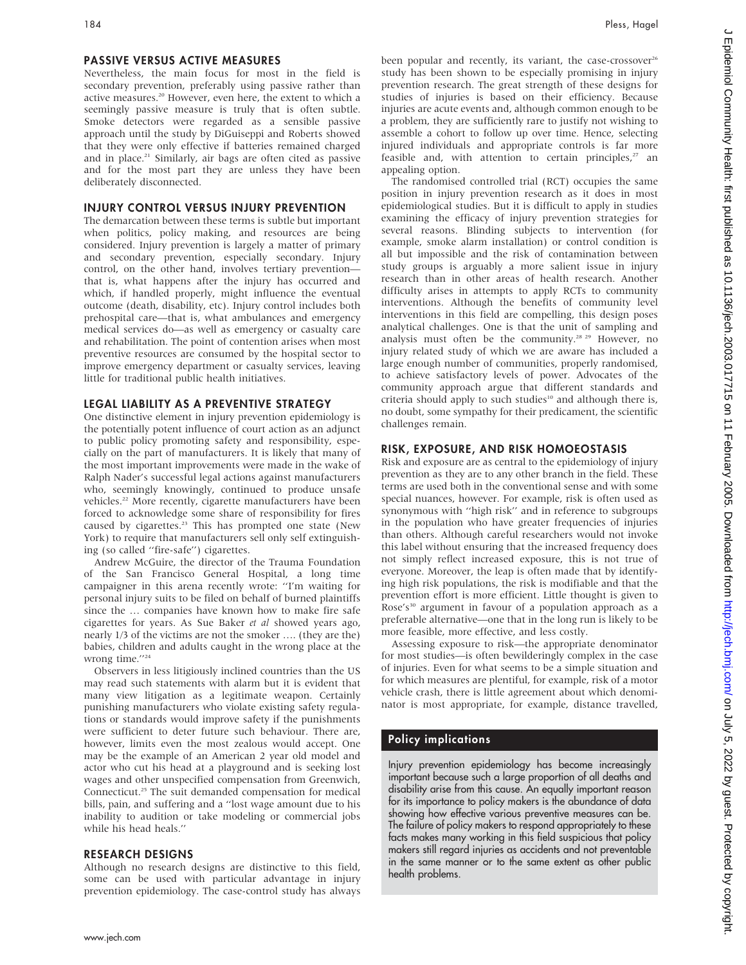## PASSIVE VERSUS ACTIVE MEASURES

Nevertheless, the main focus for most in the field is secondary prevention, preferably using passive rather than active measures.<sup>20</sup> However, even here, the extent to which a seemingly passive measure is truly that is often subtle. Smoke detectors were regarded as a sensible passive approach until the study by DiGuiseppi and Roberts showed that they were only effective if batteries remained charged and in place.<sup>21</sup> Similarly, air bags are often cited as passive and for the most part they are unless they have been deliberately disconnected.

## INJURY CONTROL VERSUS INJURY PREVENTION

The demarcation between these terms is subtle but important when politics, policy making, and resources are being considered. Injury prevention is largely a matter of primary and secondary prevention, especially secondary. Injury control, on the other hand, involves tertiary prevention that is, what happens after the injury has occurred and which, if handled properly, might influence the eventual outcome (death, disability, etc). Injury control includes both prehospital care—that is, what ambulances and emergency medical services do—as well as emergency or casualty care and rehabilitation. The point of contention arises when most preventive resources are consumed by the hospital sector to improve emergency department or casualty services, leaving little for traditional public health initiatives.

## LEGAL LIABILITY AS A PREVENTIVE STRATEGY

One distinctive element in injury prevention epidemiology is the potentially potent influence of court action as an adjunct to public policy promoting safety and responsibility, especially on the part of manufacturers. It is likely that many of the most important improvements were made in the wake of Ralph Nader's successful legal actions against manufacturers who, seemingly knowingly, continued to produce unsafe vehicles.<sup>22</sup> More recently, cigarette manufacturers have been forced to acknowledge some share of responsibility for fires caused by cigarettes.<sup>23</sup> This has prompted one state (New York) to require that manufacturers sell only self extinguishing (so called ''fire-safe'') cigarettes.

Andrew McGuire, the director of the Trauma Foundation of the San Francisco General Hospital, a long time campaigner in this arena recently wrote: ''I'm waiting for personal injury suits to be filed on behalf of burned plaintiffs since the … companies have known how to make fire safe cigarettes for years. As Sue Baker et al showed years ago, nearly 1/3 of the victims are not the smoker …. (they are the) babies, children and adults caught in the wrong place at the wrong time.''24

Observers in less litigiously inclined countries than the US may read such statements with alarm but it is evident that many view litigation as a legitimate weapon. Certainly punishing manufacturers who violate existing safety regulations or standards would improve safety if the punishments were sufficient to deter future such behaviour. There are, however, limits even the most zealous would accept. One may be the example of an American 2 year old model and actor who cut his head at a playground and is seeking lost wages and other unspecified compensation from Greenwich, Connecticut.25 The suit demanded compensation for medical bills, pain, and suffering and a ''lost wage amount due to his inability to audition or take modeling or commercial jobs while his head heals.''

## RESEARCH DESIGNS

Although no research designs are distinctive to this field, some can be used with particular advantage in injury prevention epidemiology. The case-control study has always been popular and recently, its variant, the case-crossover<sup>26</sup> study has been shown to be especially promising in injury prevention research. The great strength of these designs for studies of injuries is based on their efficiency. Because injuries are acute events and, although common enough to be a problem, they are sufficiently rare to justify not wishing to assemble a cohort to follow up over time. Hence, selecting injured individuals and appropriate controls is far more feasible and, with attention to certain principles, $27$  an appealing option.

The randomised controlled trial (RCT) occupies the same position in injury prevention research as it does in most epidemiological studies. But it is difficult to apply in studies examining the efficacy of injury prevention strategies for several reasons. Blinding subjects to intervention (for example, smoke alarm installation) or control condition is all but impossible and the risk of contamination between study groups is arguably a more salient issue in injury research than in other areas of health research. Another difficulty arises in attempts to apply RCTs to community interventions. Although the benefits of community level interventions in this field are compelling, this design poses analytical challenges. One is that the unit of sampling and analysis must often be the community.<sup>28 29</sup> However, no injury related study of which we are aware has included a large enough number of communities, properly randomised, to achieve satisfactory levels of power. Advocates of the community approach argue that different standards and criteria should apply to such studies<sup>10</sup> and although there is, no doubt, some sympathy for their predicament, the scientific challenges remain.

## RISK, EXPOSURE, AND RISK HOMOEOSTASIS

Risk and exposure are as central to the epidemiology of injury prevention as they are to any other branch in the field. These terms are used both in the conventional sense and with some special nuances, however. For example, risk is often used as synonymous with ''high risk'' and in reference to subgroups in the population who have greater frequencies of injuries than others. Although careful researchers would not invoke this label without ensuring that the increased frequency does not simply reflect increased exposure, this is not true of everyone. Moreover, the leap is often made that by identifying high risk populations, the risk is modifiable and that the prevention effort is more efficient. Little thought is given to Rose's<sup>30</sup> argument in favour of a population approach as a preferable alternative—one that in the long run is likely to be more feasible, more effective, and less costly.

Assessing exposure to risk—the appropriate denominator for most studies—is often bewilderingly complex in the case of injuries. Even for what seems to be a simple situation and for which measures are plentiful, for example, risk of a motor vehicle crash, there is little agreement about which denominator is most appropriate, for example, distance travelled,

## Policy implications

Injury prevention epidemiology has become increasingly important because such a large proportion of all deaths and disability arise from this cause. An equally important reason for its importance to policy makers is the abundance of data showing how effective various preventive measures can be. The failure of policy makers to respond appropriately to these facts makes many working in this field suspicious that policy makers still regard injuries as accidents and not preventable in the same manner or to the same extent as other public health problems.